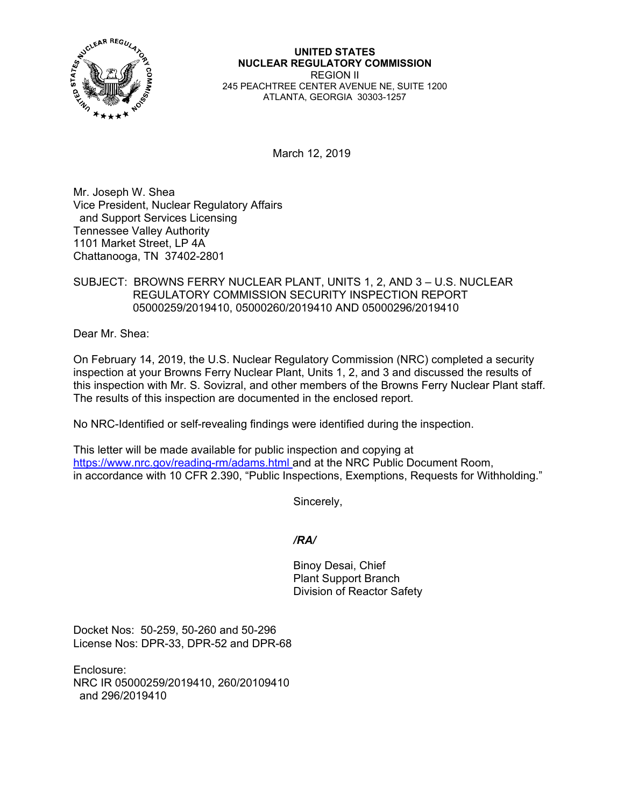

**UNITED STATES NUCLEAR REGULATORY COMMISSION**  REGION II 245 PEACHTREE CENTER AVENUE NE, SUITE 1200 ATLANTA, GEORGIA 30303-1257

March 12, 2019

Mr. Joseph W. Shea Vice President, Nuclear Regulatory Affairs and Support Services Licensing Tennessee Valley Authority 1101 Market Street, LP 4A Chattanooga, TN 37402-2801

# SUBJECT: BROWNS FERRY NUCLEAR PLANT, UNITS 1, 2, AND 3 – U.S. NUCLEAR REGULATORY COMMISSION SECURITY INSPECTION REPORT 05000259/2019410, 05000260/2019410 AND 05000296/2019410

Dear Mr. Shea:

On February 14, 2019, the U.S. Nuclear Regulatory Commission (NRC) completed a security inspection at your Browns Ferry Nuclear Plant, Units 1, 2, and 3 and discussed the results of this inspection with Mr. S. Sovizral, and other members of the Browns Ferry Nuclear Plant staff. The results of this inspection are documented in the enclosed report.

No NRC-Identified or self-revealing findings were identified during the inspection.

This letter will be made available for public inspection and copying at https://www.nrc.gov/reading-rm/adams.html and at the NRC Public Document Room, in accordance with 10 CFR 2.390, "Public Inspections, Exemptions, Requests for Withholding."

Sincerely,

# */RA/*

Binoy Desai, Chief Plant Support Branch Division of Reactor Safety

Docket Nos: 50-259, 50-260 and 50-296 License Nos: DPR-33, DPR-52 and DPR-68

Enclosure: NRC IR 05000259/2019410, 260/20109410 and 296/2019410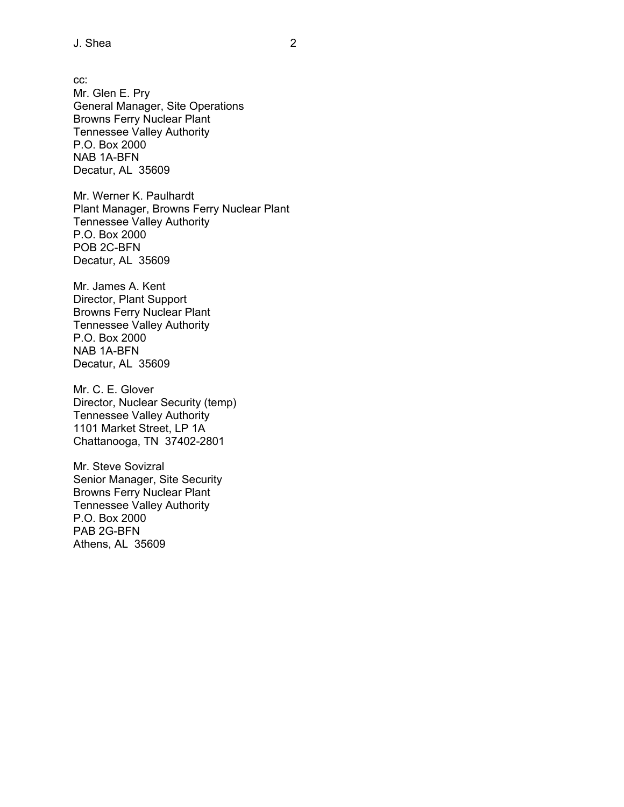cc: Mr. Glen E. Pry General Manager, Site Operations Browns Ferry Nuclear Plant Tennessee Valley Authority P.O. Box 2000 NAB 1A-BFN Decatur, AL 35609

Mr. Werner K. Paulhardt Plant Manager, Browns Ferry Nuclear Plant Tennessee Valley Authority P.O. Box 2000 POB 2C-BFN Decatur, AL 35609

Mr. James A. Kent Director, Plant Support Browns Ferry Nuclear Plant Tennessee Valley Authority P.O. Box 2000 NAB 1A-BFN Decatur, AL 35609

Mr. C. E. Glover Director, Nuclear Security (temp) Tennessee Valley Authority 1101 Market Street, LP 1A Chattanooga, TN 37402-2801

Mr. Steve Sovizral Senior Manager, Site Security Browns Ferry Nuclear Plant Tennessee Valley Authority P.O. Box 2000 PAB 2G-BFN Athens, AL 35609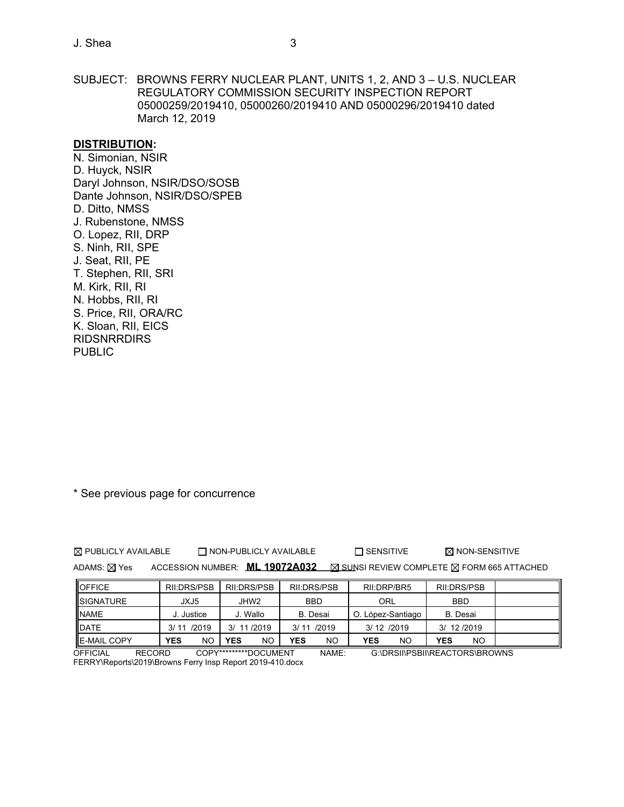J. Shea 3

SUBJECT: BROWNS FERRY NUCLEAR PLANT, UNITS 1, 2, AND 3 – U.S. NUCLEAR REGULATORY COMMISSION SECURITY INSPECTION REPORT 05000259/2019410, 05000260/2019410 AND 05000296/2019410 dated March 12, 2019

#### **DISTRIBUTION:**

N. Simonian, NSIR D. Huyck, NSIR Daryl Johnson, NSIR/DSO/SOSB Dante Johnson, NSIR/DSO/SPEB D. Ditto, NMSS J. Rubenstone, NMSS O. Lopez, RII, DRP S. Ninh, RII, SPE J. Seat, RII, PE T. Stephen, RII, SRI M. Kirk, RII, RI N. Hobbs, RII, RI S. Price, RII, ORA/RC K. Sloan, RII, EICS **RIDSNRRDIRS PUBLIC** 

\* See previous page for concurrence

 $\boxtimes$  PUBLICLY AVAILABLE  $\Box$  NON-PUBLICLY AVAILABLE  $\Box$  SENSITIVE  $\boxtimes$  NON-SENSITIVE

ADAMS: X Yes ACCESSION NUMBER: **ML 19072A032 X SUNSI REVIEW COMPLETE X FORM 665 ATTACHED** 

| <b>OFFICE</b>       | RII:DRS/PSB      | RII:DRS/PSB      | RII:DRS/PSB     | RII:DRP/BR5       | RII:DRS/PSB     |  |
|---------------------|------------------|------------------|-----------------|-------------------|-----------------|--|
| <b>ISIGNATURE</b>   | JXJ5             | JHW2             | <b>BBD</b>      | ORL               | <b>BBD</b>      |  |
| <b>INAME</b>        | Justice          | J. Wallo         | <b>B.</b> Desai | O. López-Santiago | <b>B.</b> Desai |  |
| <b>IDATE</b>        | 3/11/2019        | 11/2019<br>3/    | 3/11/2019       | 3/12/2019         | 3/ 12/2019      |  |
| <b>IE-MAIL COPY</b> | <b>YES</b><br>NΟ | <b>YES</b><br>NO | YES<br>NΟ       | YES<br>NO         | YES<br>NO       |  |

OFFICIAL RECORD COPY\*\*\*\*\*\*\*\*\*DOCUMENT NAME: G:\DRSII\PSBII\REACTORS\BROWNS FERRY\Reports\2019\Browns Ferry Insp Report 2019-410.docx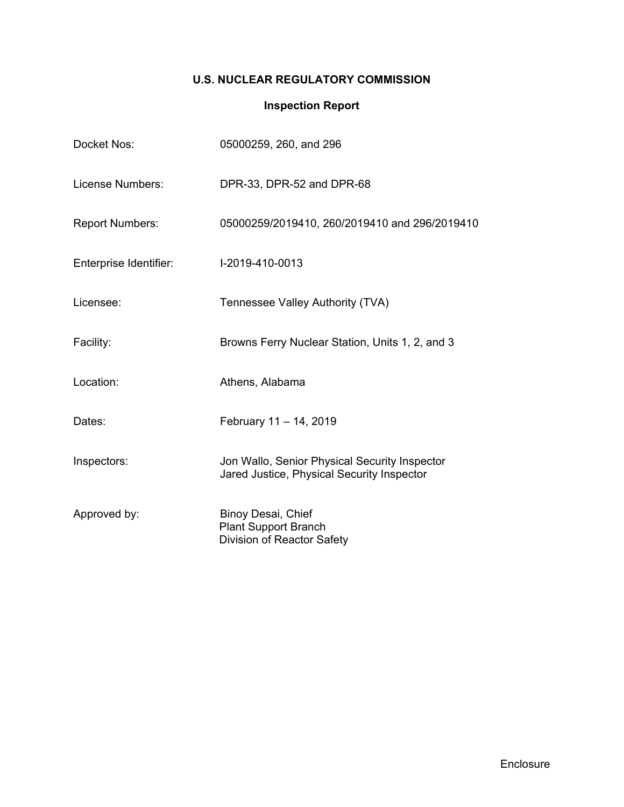# **U.S. NUCLEAR REGULATORY COMMISSION**

# **Inspection Report**

| Docket Nos:            | 05000259, 260, and 296                                                                      |
|------------------------|---------------------------------------------------------------------------------------------|
| License Numbers:       | DPR-33, DPR-52 and DPR-68                                                                   |
| <b>Report Numbers:</b> | 05000259/2019410, 260/2019410 and 296/2019410                                               |
| Enterprise Identifier: | I-2019-410-0013                                                                             |
| Licensee:              | Tennessee Valley Authority (TVA)                                                            |
| Facility:              | Browns Ferry Nuclear Station, Units 1, 2, and 3                                             |
| Location:              | Athens, Alabama                                                                             |
| Dates:                 | February 11 - 14, 2019                                                                      |
| Inspectors:            | Jon Wallo, Senior Physical Security Inspector<br>Jared Justice, Physical Security Inspector |
| Approved by:           | Binoy Desai, Chief<br><b>Plant Support Branch</b><br>Division of Reactor Safety             |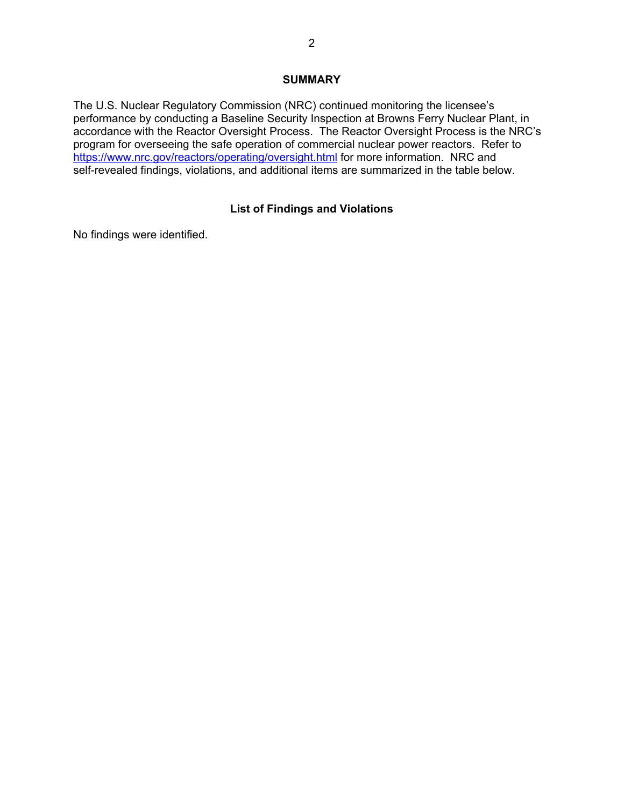#### **SUMMARY**

The U.S. Nuclear Regulatory Commission (NRC) continued monitoring the licensee's performance by conducting a Baseline Security Inspection at Browns Ferry Nuclear Plant, in accordance with the Reactor Oversight Process. The Reactor Oversight Process is the NRC's program for overseeing the safe operation of commercial nuclear power reactors. Refer to https://www.nrc.gov/reactors/operating/oversight.html for more information. NRC and self-revealed findings, violations, and additional items are summarized in the table below.

# **List of Findings and Violations**

No findings were identified.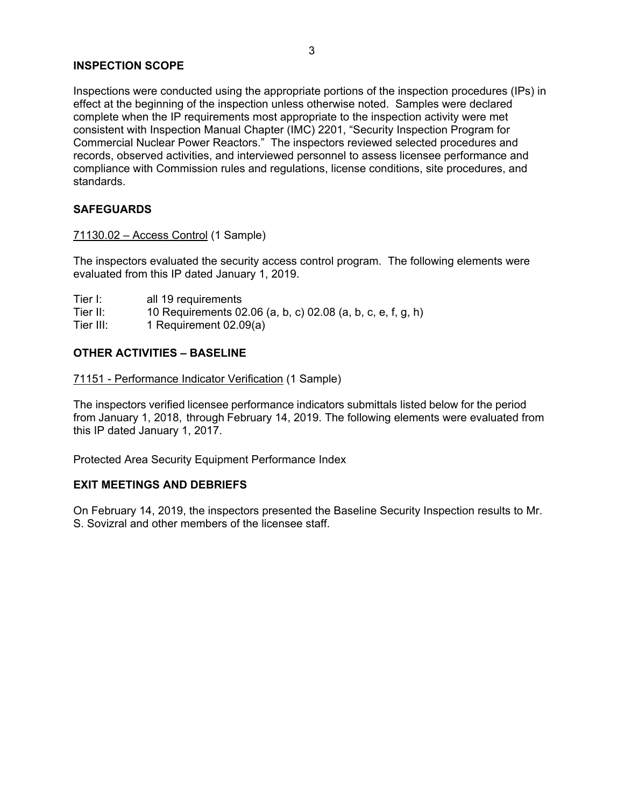#### **INSPECTION SCOPE**

Inspections were conducted using the appropriate portions of the inspection procedures (IPs) in effect at the beginning of the inspection unless otherwise noted. Samples were declared complete when the IP requirements most appropriate to the inspection activity were met consistent with Inspection Manual Chapter (IMC) 2201, "Security Inspection Program for Commercial Nuclear Power Reactors." The inspectors reviewed selected procedures and records, observed activities, and interviewed personnel to assess licensee performance and compliance with Commission rules and regulations, license conditions, site procedures, and standards.

### **SAFEGUARDS**

# 71130.02 – Access Control (1 Sample)

The inspectors evaluated the security access control program. The following elements were evaluated from this IP dated January 1, 2019.

| Tier I:   | all 19 requirements                                         |
|-----------|-------------------------------------------------------------|
| Tier II:  | 10 Requirements 02.06 (a, b, c) 02.08 (a, b, c, e, f, g, h) |
| Tier III: | 1 Requirement 02.09(a)                                      |

### **OTHER ACTIVITIES – BASELINE**

#### 71151 - Performance Indicator Verification (1 Sample)

The inspectors verified licensee performance indicators submittals listed below for the period from January 1, 2018, through February 14, 2019. The following elements were evaluated from this IP dated January 1, 2017.

Protected Area Security Equipment Performance Index

#### **EXIT MEETINGS AND DEBRIEFS**

On February 14, 2019, the inspectors presented the Baseline Security Inspection results to Mr. S. Sovizral and other members of the licensee staff.